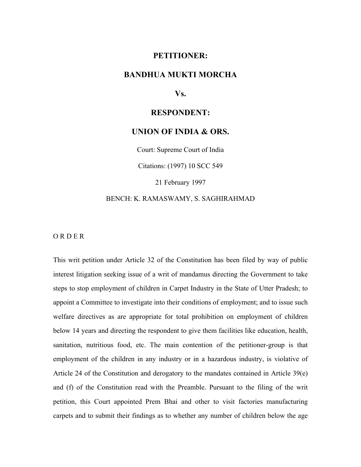# **PETITIONER:**

# **BANDHUA MUKTI MORCHA**

**Vs.**

#### **RESPONDENT:**

# **UNION OF INDIA & ORS.**

Court: Supreme Court of India

Citations: (1997) 10 SCC 549

21 February 1997

### BENCH: K. RAMASWAMY, S. SAGHIRAHMAD

O R D E R

This writ petition under Article 32 of the Constitution has been filed by way of public interest litigation seeking issue of a writ of mandamus directing the Government to take steps to stop employment of children in Carpet Industry in the State of Utter Pradesh; to appoint a Committee to investigate into their conditions of employment; and to issue such welfare directives as are appropriate for total prohibition on employment of children below 14 years and directing the respondent to give them facilities like education, health, sanitation, nutritious food, etc. The main contention of the petitioner-group is that employment of the children in any industry or in a hazardous industry, is violative of Article 24 of the Constitution and derogatory to the mandates contained in Article 39(e) and (f) of the Constitution read with the Preamble. Pursuant to the filing of the writ petition, this Court appointed Prem Bhai and other to visit factories manufacturing carpets and to submit their findings as to whether any number of children below the age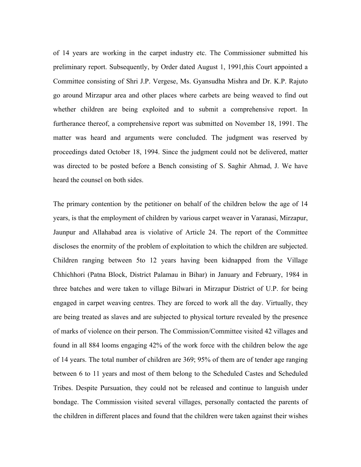of 14 years are working in the carpet industry etc. The Commissioner submitted his preliminary report. Subsequently, by Order dated August 1, 1991,this Court appointed a Committee consisting of Shri J.P. Vergese, Ms. Gyansudha Mishra and Dr. K.P. Rajuto go around Mirzapur area and other places where carbets are being weaved to find out whether children are being exploited and to submit a comprehensive report. In furtherance thereof, a comprehensive report was submitted on November 18, 1991. The matter was heard and arguments were concluded. The judgment was reserved by proceedings dated October 18, 1994. Since the judgment could not be delivered, matter was directed to be posted before a Bench consisting of S. Saghir Ahmad, J. We have heard the counsel on both sides.

The primary contention by the petitioner on behalf of the children below the age of 14 years, is that the employment of children by various carpet weaver in Varanasi, Mirzapur, Jaunpur and Allahabad area is violative of Article 24. The report of the Committee discloses the enormity of the problem of exploitation to which the children are subjected. Children ranging between 5to 12 years having been kidnapped from the Village Chhichhori (Patna Block, District Palamau in Bihar) in January and February, 1984 in three batches and were taken to village Bilwari in Mirzapur District of U.P. for being engaged in carpet weaving centres. They are forced to work all the day. Virtually, they are being treated as slaves and are subjected to physical torture revealed by the presence of marks of violence on their person. The Commission/Committee visited 42 villages and found in all 884 looms engaging 42% of the work force with the children below the age of 14 years. The total number of children are 369; 95% of them are of tender age ranging between 6 to 11 years and most of them belong to the Scheduled Castes and Scheduled Tribes. Despite Pursuation, they could not be released and continue to languish under bondage. The Commission visited several villages, personally contacted the parents of the children in different places and found that the children were taken against their wishes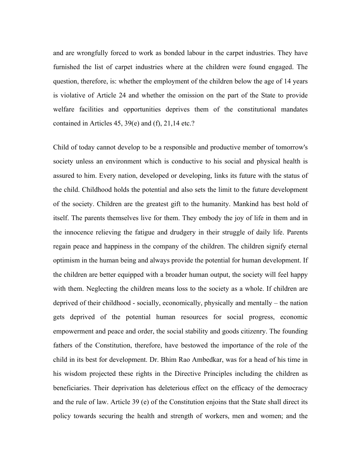and are wrongfully forced to work as bonded labour in the carpet industries. They have furnished the list of carpet industries where at the children were found engaged. The question, therefore, is: whether the employment of the children below the age of 14 years is violative of Article 24 and whether the omission on the part of the State to provide welfare facilities and opportunities deprives them of the constitutional mandates contained in Articles 45, 39(e) and (f), 21,14 etc.?

Child of today cannot develop to be a responsible and productive member of tomorrow's society unless an environment which is conductive to his social and physical health is assured to him. Every nation, developed or developing, links its future with the status of the child. Childhood holds the potential and also sets the limit to the future development of the society. Children are the greatest gift to the humanity. Mankind has best hold of itself. The parents themselves live for them. They embody the joy of life in them and in the innocence relieving the fatigue and drudgery in their struggle of daily life. Parents regain peace and happiness in the company of the children. The children signify eternal optimism in the human being and always provide the potential for human development. If the children are better equipped with a broader human output, the society will feel happy with them. Neglecting the children means loss to the society as a whole. If children are deprived of their childhood - socially, economically, physically and mentally – the nation gets deprived of the potential human resources for social progress, economic empowerment and peace and order, the social stability and goods citizenry. The founding fathers of the Constitution, therefore, have bestowed the importance of the role of the child in its best for development. Dr. Bhim Rao Ambedkar, was for a head of his time in his wisdom projected these rights in the Directive Principles including the children as beneficiaries. Their deprivation has deleterious effect on the efficacy of the democracy and the rule of law. Article 39 (e) of the Constitution enjoins that the State shall direct its policy towards securing the health and strength of workers, men and women; and the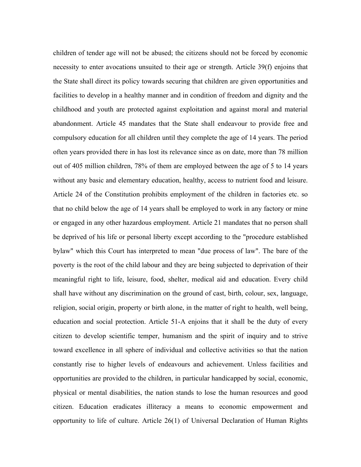children of tender age will not be abused; the citizens should not be forced by economic necessity to enter avocations unsuited to their age or strength. Article 39(f) enjoins that the State shall direct its policy towards securing that children are given opportunities and facilities to develop in a healthy manner and in condition of freedom and dignity and the childhood and youth are protected against exploitation and against moral and material abandonment. Article 45 mandates that the State shall endeavour to provide free and compulsory education for all children until they complete the age of 14 years. The period often years provided there in has lost its relevance since as on date, more than 78 million out of 405 million children, 78% of them are employed between the age of 5 to 14 years without any basic and elementary education, healthy, access to nutrient food and leisure. Article 24 of the Constitution prohibits employment of the children in factories etc. so that no child below the age of 14 years shall be employed to work in any factory or mine or engaged in any other hazardous employment. Article 21 mandates that no person shall be deprived of his life or personal liberty except according to the "procedure established bylaw" which this Court has interpreted to mean "due process of law". The bare of the poverty is the root of the child labour and they are being subjected to deprivation of their meaningful right to life, leisure, food, shelter, medical aid and education. Every child shall have without any discrimination on the ground of cast, birth, colour, sex, language, religion, social origin, property or birth alone, in the matter of right to health, well being, education and social protection. Article 51-A enjoins that it shall be the duty of every citizen to develop scientific temper, humanism and the spirit of inquiry and to strive toward excellence in all sphere of individual and collective activities so that the nation constantly rise to higher levels of endeavours and achievement. Unless facilities and opportunities are provided to the children, in particular handicapped by social, economic, physical or mental disabilities, the nation stands to lose the human resources and good citizen. Education eradicates illiteracy a means to economic empowerment and opportunity to life of culture. Article 26(1) of Universal Declaration of Human Rights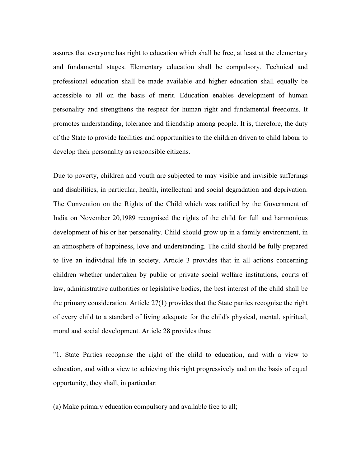assures that everyone has right to education which shall be free, at least at the elementary and fundamental stages. Elementary education shall be compulsory. Technical and professional education shall be made available and higher education shall equally be accessible to all on the basis of merit. Education enables development of human personality and strengthens the respect for human right and fundamental freedoms. It promotes understanding, tolerance and friendship among people. It is, therefore, the duty of the State to provide facilities and opportunities to the children driven to child labour to develop their personality as responsible citizens.

Due to poverty, children and youth are subjected to may visible and invisible sufferings and disabilities, in particular, health, intellectual and social degradation and deprivation. The Convention on the Rights of the Child which was ratified by the Government of India on November 20,1989 recognised the rights of the child for full and harmonious development of his or her personality. Child should grow up in a family environment, in an atmosphere of happiness, love and understanding. The child should be fully prepared to live an individual life in society. Article 3 provides that in all actions concerning children whether undertaken by public or private social welfare institutions, courts of law, administrative authorities or legislative bodies, the best interest of the child shall be the primary consideration. Article 27(1) provides that the State parties recognise the right of every child to a standard of living adequate for the child's physical, mental, spiritual, moral and social development. Article 28 provides thus:

"1. State Parties recognise the right of the child to education, and with a view to education, and with a view to achieving this right progressively and on the basis of equal opportunity, they shall, in particular:

(a) Make primary education compulsory and available free to all;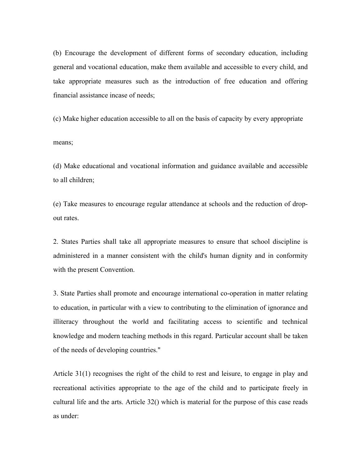(b) Encourage the development of different forms of secondary education, including general and vocational education, make them available and accessible to every child, and take appropriate measures such as the introduction of free education and offering financial assistance incase of needs;

(c) Make higher education accessible to all on the basis of capacity by every appropriate means;

(d) Make educational and vocational information and guidance available and accessible to all children;

(e) Take measures to encourage regular attendance at schools and the reduction of dropout rates.

2. States Parties shall take all appropriate measures to ensure that school discipline is administered in a manner consistent with the child's human dignity and in conformity with the present Convention.

3. State Parties shall promote and encourage international co-operation in matter relating to education, in particular with a view to contributing to the elimination of ignorance and illiteracy throughout the world and facilitating access to scientific and technical knowledge and modern teaching methods in this regard. Particular account shall be taken of the needs of developing countries."

Article 31(1) recognises the right of the child to rest and leisure, to engage in play and recreational activities appropriate to the age of the child and to participate freely in cultural life and the arts. Article 32() which is material for the purpose of this case reads as under: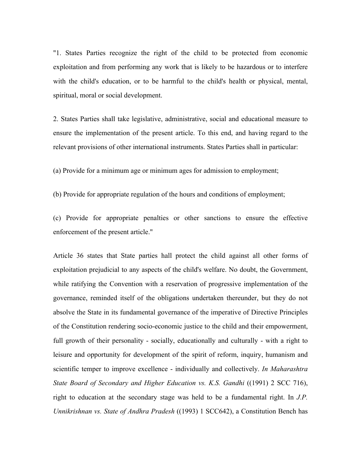"1. States Parties recognize the right of the child to be protected from economic exploitation and from performing any work that is likely to be hazardous or to interfere with the child's education, or to be harmful to the child's health or physical, mental, spiritual, moral or social development.

2. States Parties shall take legislative, administrative, social and educational measure to ensure the implementation of the present article. To this end, and having regard to the relevant provisions of other international instruments. States Parties shall in particular:

(a) Provide for a minimum age or minimum ages for admission to employment;

(b) Provide for appropriate regulation of the hours and conditions of employment;

(c) Provide for appropriate penalties or other sanctions to ensure the effective enforcement of the present article."

Article 36 states that State parties hall protect the child against all other forms of exploitation prejudicial to any aspects of the child's welfare. No doubt, the Government, while ratifying the Convention with a reservation of progressive implementation of the governance, reminded itself of the obligations undertaken thereunder, but they do not absolve the State in its fundamental governance of the imperative of Directive Principles of the Constitution rendering socio-economic justice to the child and their empowerment, full growth of their personality - socially, educationally and culturally - with a right to leisure and opportunity for development of the spirit of reform, inquiry, humanism and scientific temper to improve excellence - individually and collectively. *In Maharashtra State Board of Secondary and Higher Education vs. K.S. Gandhi* ((1991) 2 SCC 716), right to education at the secondary stage was held to be a fundamental right. In *J.P. Unnikrishnan vs. State of Andhra Pradesh* ((1993) 1 SCC642), a Constitution Bench has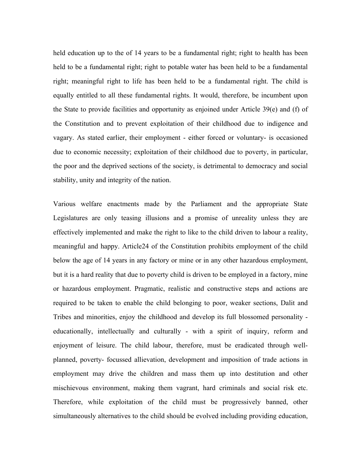held education up to the of 14 years to be a fundamental right; right to health has been held to be a fundamental right; right to potable water has been held to be a fundamental right; meaningful right to life has been held to be a fundamental right. The child is equally entitled to all these fundamental rights. It would, therefore, be incumbent upon the State to provide facilities and opportunity as enjoined under Article 39(e) and (f) of the Constitution and to prevent exploitation of their childhood due to indigence and vagary. As stated earlier, their employment - either forced or voluntary- is occasioned due to economic necessity; exploitation of their childhood due to poverty, in particular, the poor and the deprived sections of the society, is detrimental to democracy and social stability, unity and integrity of the nation.

Various welfare enactments made by the Parliament and the appropriate State Legislatures are only teasing illusions and a promise of unreality unless they are effectively implemented and make the right to like to the child driven to labour a reality, meaningful and happy. Article24 of the Constitution prohibits employment of the child below the age of 14 years in any factory or mine or in any other hazardous employment, but it is a hard reality that due to poverty child is driven to be employed in a factory, mine or hazardous employment. Pragmatic, realistic and constructive steps and actions are required to be taken to enable the child belonging to poor, weaker sections, Dalit and Tribes and minorities, enjoy the childhood and develop its full blossomed personality educationally, intellectually and culturally - with a spirit of inquiry, reform and enjoyment of leisure. The child labour, therefore, must be eradicated through wellplanned, poverty- focussed allievation, development and imposition of trade actions in employment may drive the children and mass them up into destitution and other mischievous environment, making them vagrant, hard criminals and social risk etc. Therefore, while exploitation of the child must be progressively banned, other simultaneously alternatives to the child should be evolved including providing education,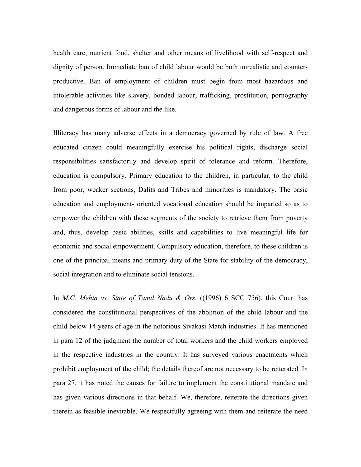health care, nutrient food, shelter and other means of livelihood with self-respect and dignity of person. Immediate ban of child labour would be both unrealistic and counterproductive. Ban of employment of children must begin from most hazardous and intolerable activities like slavery, bonded labour, trafficking, prostitution, pornography and dangerous forms of labour and the like.

Illiteracy has many adverse effects in a democracy governed by rule of law. A free educated citizen could meaningfully exercise his political rights, discharge social responsibilities satisfactorily and develop spirit of tolerance and reform. Therefore, education is compulsory. Primary education to the children, in particular, to the child from poor, weaker sections, Dalits and Tribes and minorities is mandatory. The basic education and employment- oriented vocational education should be imparted so as to empower the children with these segments of the society to retrieve them from poverty and, thus, develop basic abilities, skills and capabilities to live meaningful life for economic and social empowerment. Compulsory education, therefore, to these children is one of the principal means and primary duty of the State for stability of the democracy, social integration and to eliminate social tensions.

In *M.C. Mehta vs. State of Tamil Nadu & Ors.* ((1996) 6 SCC 756), this Court has considered the constitutional perspectives of the abolition of the child labour and the child below 14 years of age in the notorious Sivakasi Match industries. It has mentioned in para 12 of the judgment the number of total workers and the child workers employed in the respective industries in the country. It has surveyed various enactments which prohibit employment of the child; the details thereof are not necessary to be reiterated. In para 27, it has noted the causes for failure to implement the constitutional mandate and has given various directions in that behalf. We, therefore, reiterate the directions given therein as feasible inevitable. We respectfully agreeing with them and reiterate the need